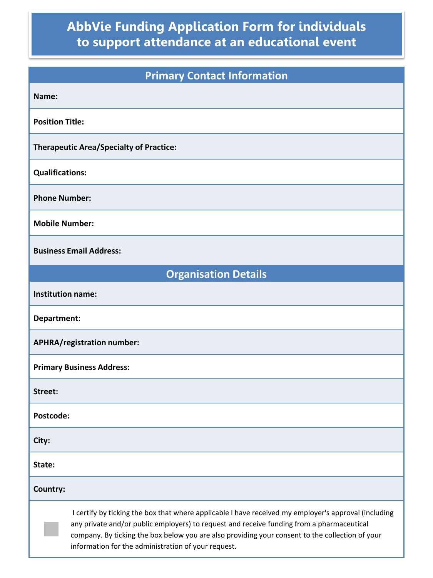## **AbbVie Funding Application Form for individuals to support attendance at an educational event**

| <b>Primary Contact Information</b>                                                                                                                                                                                                                                                                                                                          |  |  |
|-------------------------------------------------------------------------------------------------------------------------------------------------------------------------------------------------------------------------------------------------------------------------------------------------------------------------------------------------------------|--|--|
| Name:                                                                                                                                                                                                                                                                                                                                                       |  |  |
| <b>Position Title:</b>                                                                                                                                                                                                                                                                                                                                      |  |  |
| <b>Therapeutic Area/Specialty of Practice:</b>                                                                                                                                                                                                                                                                                                              |  |  |
| <b>Qualifications:</b>                                                                                                                                                                                                                                                                                                                                      |  |  |
| <b>Phone Number:</b>                                                                                                                                                                                                                                                                                                                                        |  |  |
| <b>Mobile Number:</b>                                                                                                                                                                                                                                                                                                                                       |  |  |
| <b>Business Email Address:</b>                                                                                                                                                                                                                                                                                                                              |  |  |
| <b>Organisation Details</b>                                                                                                                                                                                                                                                                                                                                 |  |  |
| <b>Institution name:</b>                                                                                                                                                                                                                                                                                                                                    |  |  |
| Department:                                                                                                                                                                                                                                                                                                                                                 |  |  |
| APHRA/registration number:                                                                                                                                                                                                                                                                                                                                  |  |  |
| <b>Primary Business Address:</b>                                                                                                                                                                                                                                                                                                                            |  |  |
| Street:                                                                                                                                                                                                                                                                                                                                                     |  |  |
| Postcode:                                                                                                                                                                                                                                                                                                                                                   |  |  |
| City:                                                                                                                                                                                                                                                                                                                                                       |  |  |
| State:                                                                                                                                                                                                                                                                                                                                                      |  |  |
| Country:                                                                                                                                                                                                                                                                                                                                                    |  |  |
| I certify by ticking the box that where applicable I have received my employer's approval (including<br>any private and/or public employers) to request and receive funding from a pharmaceutical<br>company. By ticking the box below you are also providing your consent to the collection of your<br>information for the administration of your request. |  |  |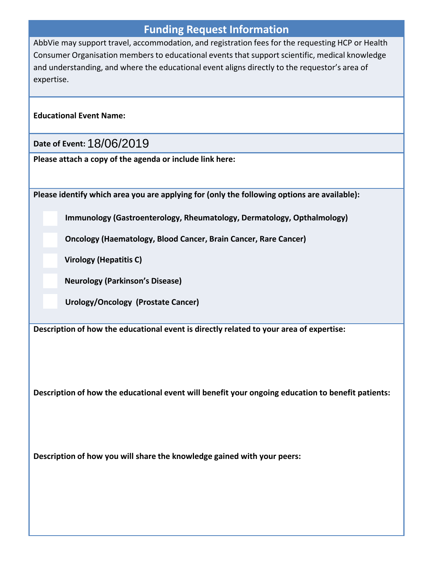## **Funding Request Information**

AbbVie may support travel, accommodation, and registration fees for the requesting HCP or Health Consumer Organisation members to educational events that support scientific, medical knowledge and understanding, and where the educational event aligns directly to the requestor's area of expertise.

**Educational Event Name:**

**Date of Event:** 18/06/2019

**Please attach a copy of the agenda or include link here:**

**Please identify which area you are applying for (only the following options are available):**

**Immunology (Gastroenterology, Rheumatology, Dermatology, Opthalmology)**

**Oncology (Haematology, Blood Cancer, Brain Cancer, Rare Cancer)**

**Virology (Hepatitis C)**

**Neurology (Parkinson's Disease)**

**Urology/Oncology (Prostate Cancer)**

**Description of how the educational event is directly related to your area of expertise:**

**Description of how the educational event will benefit your ongoing education to benefit patients:**

**Description of how you will share the knowledge gained with your peers:**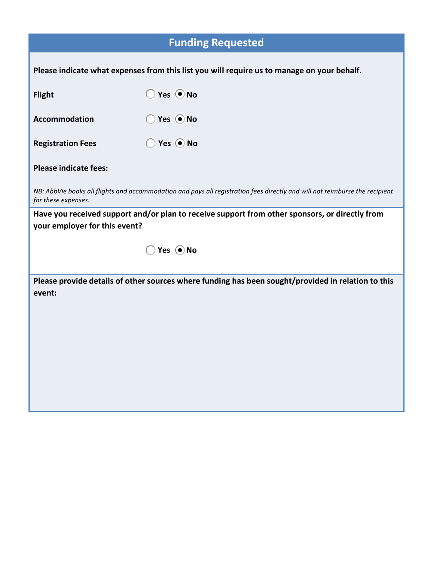## **Funding Requested**

| Please indicate what expenses from this list you will require us to manage on your behalf.                                                         |                                                                                                    |  |  |
|----------------------------------------------------------------------------------------------------------------------------------------------------|----------------------------------------------------------------------------------------------------|--|--|
| <b>Flight</b>                                                                                                                                      | $\bigcirc$ Yes $\bigcirc$ No                                                                       |  |  |
| Accommodation                                                                                                                                      | $\bigcirc$ Yes $\bigcirc$ No                                                                       |  |  |
| <b>Registration Fees</b>                                                                                                                           | $\bigcirc$ Yes $\bigcirc$ No                                                                       |  |  |
| <b>Please indicate fees:</b>                                                                                                                       |                                                                                                    |  |  |
| NB: AbbVie books all flights and accommodation and pays all registration fees directly and will not reimburse the recipient<br>for these expenses. |                                                                                                    |  |  |
| Have you received support and/or plan to receive support from other sponsors, or directly from<br>your employer for this event?                    |                                                                                                    |  |  |
|                                                                                                                                                    |                                                                                                    |  |  |
|                                                                                                                                                    | Yes ONo                                                                                            |  |  |
| event:                                                                                                                                             | Please provide details of other sources where funding has been sought/provided in relation to this |  |  |